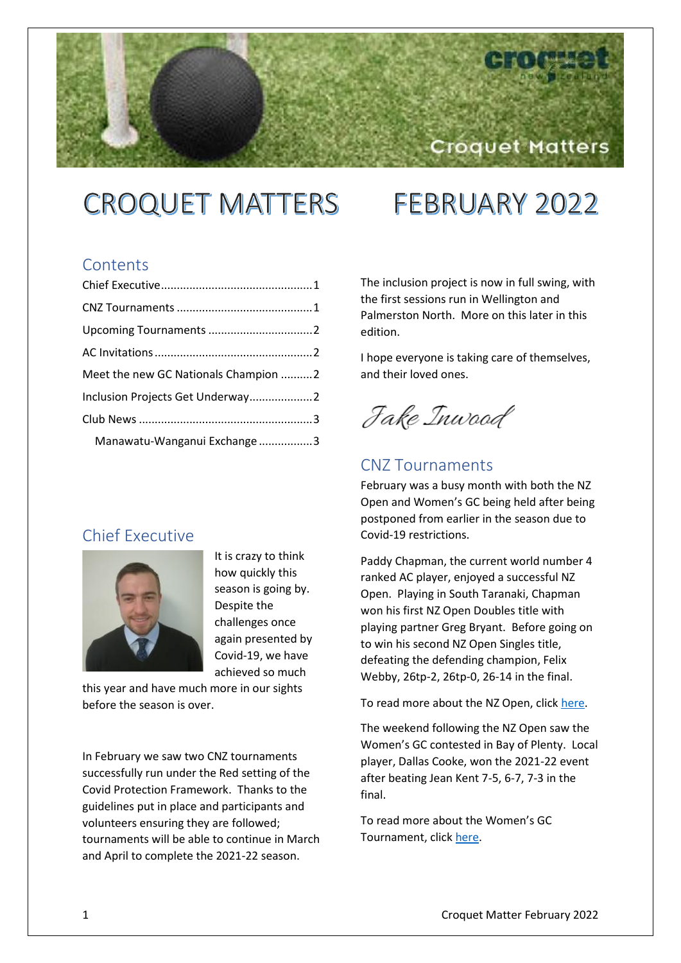# **CROQUET MATTERS FEBRUARY 2022**

## **Contents**

| Meet the new GC Nationals Champion 2 |  |
|--------------------------------------|--|
| Inclusion Projects Get Underway2     |  |
|                                      |  |
| Manawatu-Wanganui Exchange 3         |  |

# <span id="page-0-0"></span>Chief Executive



It is crazy to think how quickly this season is going by. Despite the challenges once again presented by Covid-19, we have achieved so much

this year and have much more in our sights before the season is over.

In February we saw two CNZ tournaments successfully run under the Red setting of the Covid Protection Framework. Thanks to the guidelines put in place and participants and volunteers ensuring they are followed; tournaments will be able to continue in March and April to complete the 2021-22 season.

The inclusion project is now in full swing, with the first sessions run in Wellington and Palmerston North. More on this later in this edition.

Croquet Matters

I hope everyone is taking care of themselves, and their loved ones.

Jake Inwood

# <span id="page-0-1"></span>CNZ Tournaments

February was a busy month with both the NZ Open and Women's GC being held after being postponed from earlier in the season due to Covid-19 restrictions.

Paddy Chapman, the current world number 4 ranked AC player, enjoyed a successful NZ Open. Playing in South Taranaki, Chapman won his first NZ Open Doubles title with playing partner Greg Bryant. Before going on to win his second NZ Open Singles title, defeating the defending champion, Felix Webby, 26tp-2, 26tp-0, 26-14 in the final.

To read more about the NZ Open, clic[k here.](https://croquet.org.nz/chapman-claims-second-nz-open-singles-title/)

The weekend following the NZ Open saw the Women's GC contested in Bay of Plenty. Local player, Dallas Cooke, won the 2021-22 event after beating Jean Kent 7-5, 6-7, 7-3 in the final.

To read more about the Women's GC Tournament, click [here.](https://croquet.org.nz/cooke-wins-2021-22-womens-gc-tournament/)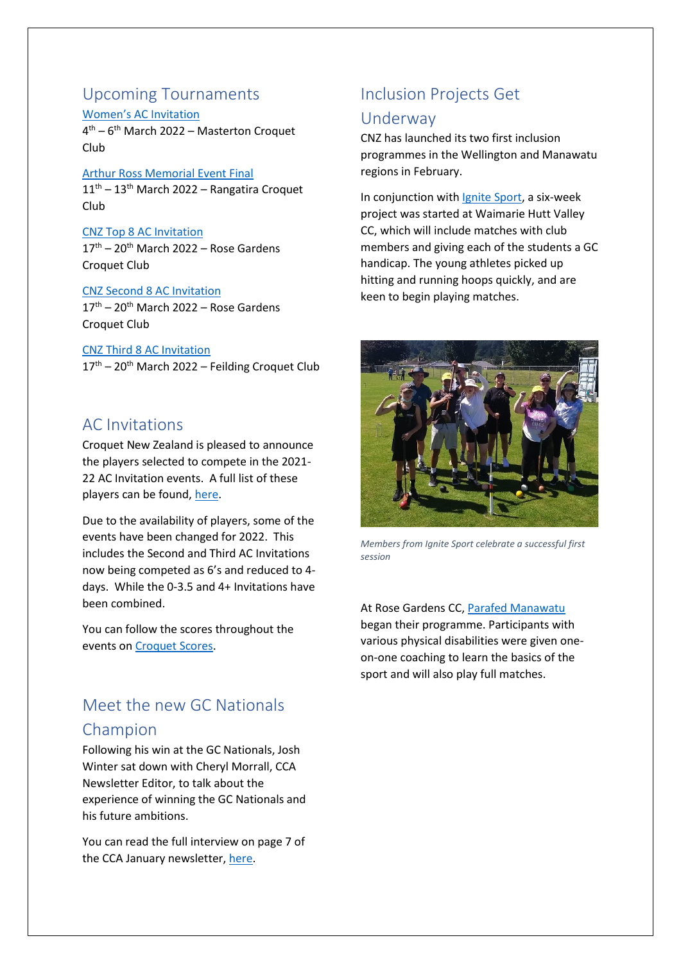### <span id="page-1-0"></span>Upcoming Tournaments [Women's AC Invitation](https://croquet.org.nz/tournament/womens-ac-invitation/)

4 th – 6 th March 2022 – Masterton Croquet Club

#### [Arthur Ross Memorial Event Final](https://croquet.org.nz/tournament/arthur-ross-national-final/)

 $11<sup>th</sup> - 13<sup>th</sup>$  March 2022 – Rangatira Croquet Club

#### [CNZ Top 8 AC Invitation](https://croquet.org.nz/tournament/ca-silver-tray-ac-invitation/)

 $17<sup>th</sup> - 20<sup>th</sup>$  March 2022 – Rose Gardens Croquet Club

#### [CNZ Second 8 AC Invitation](https://croquet.org.nz/tournament/edwina-thompson-ac-invitation/)

 $17<sup>th</sup> - 20<sup>th</sup>$  March 2022 – Rose Gardens Croquet Club

[CNZ Third 8 AC Invitation](https://croquet.org.nz/tournament/roger-murfitt-ac-invitation/)  $17<sup>th</sup>$  – 20<sup>th</sup> March 2022 – Feilding Croquet Club

## <span id="page-1-1"></span>AC Invitations

Croquet New Zealand is pleased to announce the players selected to compete in the 2021- 22 AC Invitation events. A full list of these players can be found, [here.](https://croquet.org.nz/2022-ac-invitations/)

Due to the availability of players, some of the events have been changed for 2022. This includes the Second and Third AC Invitations now being competed as 6's and reduced to 4 days. While the 0-3.5 and 4+ Invitations have been combined.

You can follow the scores throughout the events on [Croquet Scores.](https://croquetscores.com/)

# <span id="page-1-2"></span>Meet the new GC Nationals Champion

Following his win at the GC Nationals, Josh Winter sat down with Cheryl Morrall, CCA Newsletter Editor, to talk about the experience of winning the GC Nationals and his future ambitions.

You can read the full interview on page 7 of the CCA January newsletter, [here.](https://croquetcanterbury.files.wordpress.com/2022/01/cca-newsletter-2022-01.pdf)

# <span id="page-1-3"></span>Inclusion Projects Get

## Underway

CNZ has launched its two first inclusion programmes in the Wellington and Manawatu regions in February.

In conjunction with [Ignite Sport,](http://ignitesport.org.nz/) a six-week project was started at Waimarie Hutt Valley CC, which will include matches with club members and giving each of the students a GC handicap. The young athletes picked up hitting and running hoops quickly, and are keen to begin playing matches.



*Members from Ignite Sport celebrate a successful first session*

At Rose Gardens CC[, Parafed Manawatu](https://www.parafedmanawatu.com/) began their programme. Participants with various physical disabilities were given oneon-one coaching to learn the basics of the sport and will also play full matches.